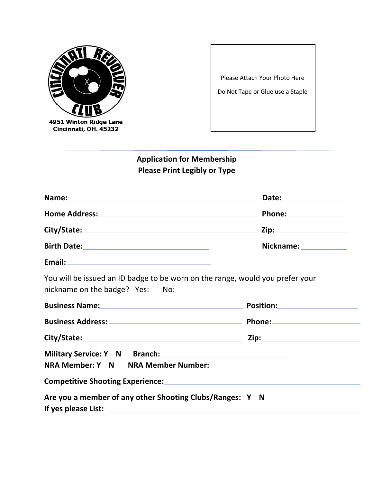

Please Attach Your Photo Here Do Not Tape or Glue use a Staple

# **Application for Membership Please Print Legibly or Type**

|                                                                                                                         | Phone: ________________      |
|-------------------------------------------------------------------------------------------------------------------------|------------------------------|
|                                                                                                                         |                              |
|                                                                                                                         | Nickname: ____________       |
| Email: 2008 - 2008 - 2008 - 2019 - 2019 - 2019 - 2019 - 2019 - 2019 - 2019 - 2019 - 2019 - 2019 - 2019 - 2019           |                              |
| You will be issued an ID badge to be worn on the range, would you prefer your<br>nickname on the badge? Yes: No:        |                              |
| <b>Business Name:</b> Name: Name and Name and Name and Name and Name and Name and Name and Name and Name and Name and N | Position: New York Position: |
|                                                                                                                         |                              |
| City/State: 2008 2ip:                                                                                                   |                              |
| Military Service: Y N Branch: Military Service: Y N Branch:                                                             |                              |
| Are you a member of any other Shooting Clubs/Ranges: Y N                                                                |                              |
|                                                                                                                         |                              |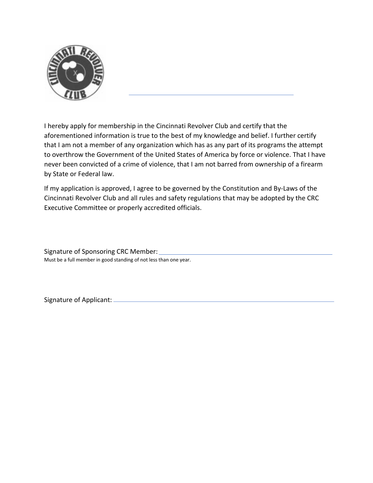

I hereby apply for membership in the Cincinnati Revolver Club and certify that the aforementioned information is true to the best of my knowledge and belief. I further certify that I am not a member of any organization which has as any part of its programs the attempt to overthrow the Government of the United States of America by force or violence. That I have never been convicted of a crime of violence, that I am not barred from ownership of a firearm by State or Federal law.

If my application is approved, I agree to be governed by the Constitution and By-Laws of the Cincinnati Revolver Club and all rules and safety regulations that may be adopted by the CRC Executive Committee or properly accredited officials.

Signature of Sponsoring CRC Member: Must be a full member in good standing of not less than one year.

Signature of Applicant: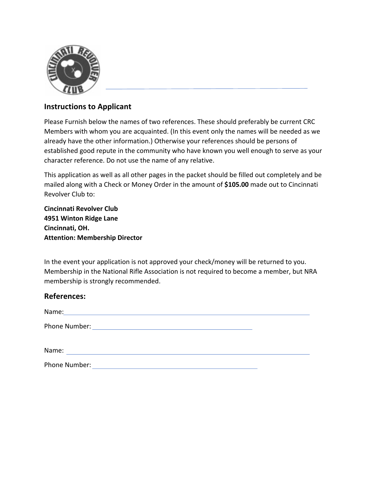

#### **Instructions to Applicant**

Please Furnish below the names of two references. These should preferably be current CRC Members with whom you are acquainted. (In this event only the names will be needed as we already have the other information.) Otherwise your references should be persons of established good repute in the community who have known you well enough to serve as your character reference. Do not use the name of any relative.

This application as well as all other pages in the packet should be filled out completely and be mailed along with a Check or Money Order in the amount of **\$105.00** made out to Cincinnati Revolver Club to:

**Cincinnati Revolver Club 4951 Winton Ridge Lane Cincinnati, OH. Attention: Membership Director**

In the event your application is not approved your check/money will be returned to you. Membership in the National Rifle Association is not required to become a member, but NRA membership is strongly recommended.

#### **References:**

| Name:         |  |  |  |
|---------------|--|--|--|
| Phone Number: |  |  |  |
| Name:         |  |  |  |

Phone Number: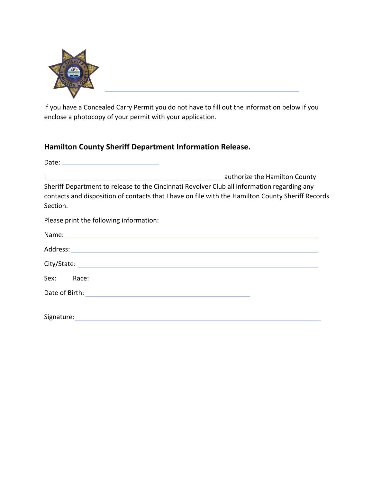

If you have a Concealed Carry Permit you do not have to fill out the information below if you enclose a photocopy of your permit with your application.

### **Hamilton County Sheriff Department Information Release.**

|                                                                                                                                                                                                              | authorize the Hamilton County |
|--------------------------------------------------------------------------------------------------------------------------------------------------------------------------------------------------------------|-------------------------------|
| Sheriff Department to release to the Cincinnati Revolver Club all information regarding any<br>contacts and disposition of contacts that I have on file with the Hamilton County Sheriff Records<br>Section. |                               |
| Please print the following information:                                                                                                                                                                      |                               |
|                                                                                                                                                                                                              |                               |
|                                                                                                                                                                                                              |                               |
|                                                                                                                                                                                                              |                               |
| Sex: Race:                                                                                                                                                                                                   |                               |
|                                                                                                                                                                                                              |                               |
| Signature:                                                                                                                                                                                                   |                               |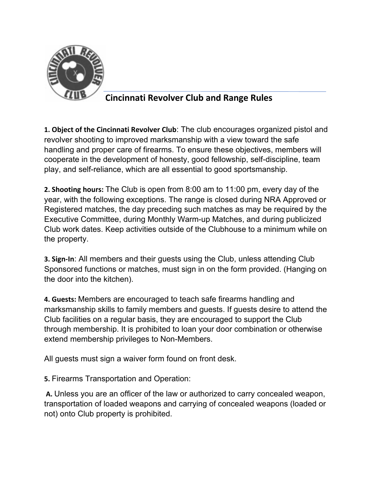

## **Cincinnati Revolver Club and Range Rules**

**1. Object of the Cincinnati Revolver Club**: The club encourages organized pistol and revolver shooting to improved marksmanship with a view toward the safe handling and proper care of firearms. To ensure these objectives, members will cooperate in the development of honesty, good fellowship, self-discipline, team play, and self-reliance, which are all essential to good sportsmanship.

**2. Shooting hours:** The Club is open from 8:00 am to 11:00 pm, every day of the year, with the following exceptions. The range is closed during NRA Approved or Registered matches, the day preceding such matches as may be required by the Executive Committee, during Monthly Warm-up Matches, and during publicized Club work dates. Keep activities outside of the Clubhouse to a minimum while on the property.

**3. Sign-In**: All members and their guests using the Club, unless attending Club Sponsored functions or matches, must sign in on the form provided. (Hanging on the door into the kitchen).

**4. Guests:** Members are encouraged to teach safe firearms handling and marksmanship skills to family members and guests. If guests desire to attend the Club facilities on a regular basis, they are encouraged to support the Club through membership. It is prohibited to loan your door combination or otherwise extend membership privileges to Non-Members.

All guests must sign a waiver form found on front desk.

**5.** Firearms Transportation and Operation:

**A.** Unless you are an officer of the law or authorized to carry concealed weapon, transportation of loaded weapons and carrying of concealed weapons (loaded or not) onto Club property is prohibited.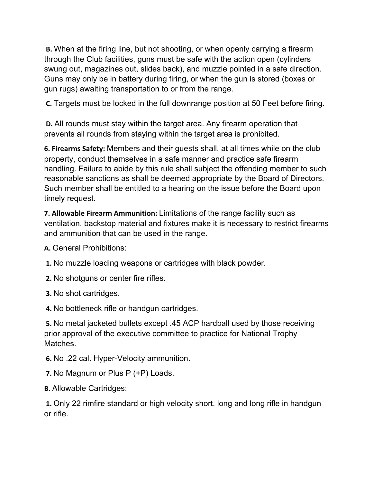**B.** When at the firing line, but not shooting, or when openly carrying a firearm through the Club facilities, guns must be safe with the action open (cylinders swung out, magazines out, slides back), and muzzle pointed in a safe direction. Guns may only be in battery during firing, or when the gun is stored (boxes or gun rugs) awaiting transportation to or from the range.

**C.** Targets must be locked in the full downrange position at 50 Feet before firing.

**D.** All rounds must stay within the target area. Any firearm operation that prevents all rounds from staying within the target area is prohibited.

**6. Firearms Safety:** Members and their guests shall, at all times while on the club property, conduct themselves in a safe manner and practice safe firearm handling. Failure to abide by this rule shall subject the offending member to such reasonable sanctions as shall be deemed appropriate by the Board of Directors. Such member shall be entitled to a hearing on the issue before the Board upon timely request.

**7. Allowable Firearm Ammunition:** Limitations of the range facility such as ventilation, backstop material and fixtures make it is necessary to restrict firearms and ammunition that can be used in the range.

**A.** General Prohibitions:

**1.** No muzzle loading weapons or cartridges with black powder.

**2.** No shotguns or center fire rifles.

**3.** No shot cartridges.

**4.** No bottleneck rifle or handgun cartridges.

**5.** No metal jacketed bullets except .45 ACP hardball used by those receiving prior approval of the executive committee to practice for National Trophy Matches.

**6.** No .22 cal. Hyper-Velocity ammunition.

**7.** No Magnum or Plus P (+P) Loads.

**B.** Allowable Cartridges:

**1.** Only 22 rimfire standard or high velocity short, long and long rifle in handgun or rifle.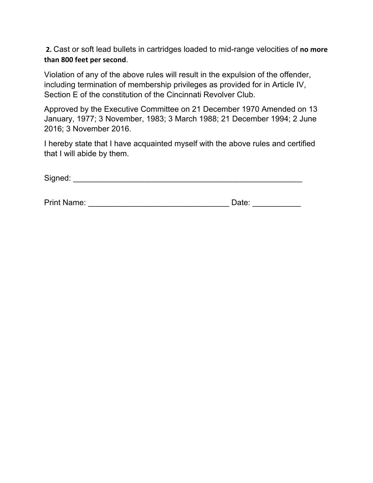**2.** Cast or soft lead bullets in cartridges loaded to mid-range velocities of **no more than 800 feet per second**.

Violation of any of the above rules will result in the expulsion of the offender, including termination of membership privileges as provided for in Article IV, Section E of the constitution of the Cincinnati Revolver Club.

Approved by the Executive Committee on 21 December 1970 Amended on 13 January, 1977; 3 November, 1983; 3 March 1988; 21 December 1994; 2 June 2016; 3 November 2016.

I hereby state that I have acquainted myself with the above rules and certified that I will abide by them.

| Signed: |  |
|---------|--|
|         |  |

| <b>Print Name:</b> | Date: |
|--------------------|-------|
|                    |       |